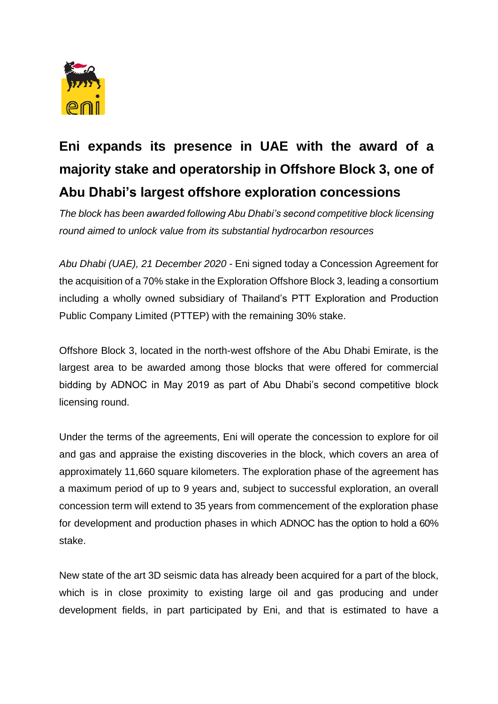

## **Eni expands its presence in UAE with the award of a majority stake and operatorship in Offshore Block 3, one of Abu Dhabi's largest offshore exploration concessions**

*The block has been awarded following Abu Dhabi's second competitive block licensing round aimed to unlock value from its substantial hydrocarbon resources*

*Abu Dhabi (UAE), 21 December 2020 -* Eni signed today a Concession Agreement for the acquisition of a 70% stake in the Exploration Offshore Block 3, leading a consortium including a wholly owned subsidiary of Thailand's PTT Exploration and Production Public Company Limited (PTTEP) with the remaining 30% stake.

Offshore Block 3, located in the north-west offshore of the Abu Dhabi Emirate, is the largest area to be awarded among those blocks that were offered for commercial bidding by ADNOC in May 2019 as part of Abu Dhabi's second competitive block licensing round.

Under the terms of the agreements, Eni will operate the concession to explore for oil and gas and appraise the existing discoveries in the block, which covers an area of approximately 11,660 square kilometers. The exploration phase of the agreement has a maximum period of up to 9 years and, subject to successful exploration, an overall concession term will extend to 35 years from commencement of the exploration phase for development and production phases in which ADNOC has the option to hold a 60% stake.

New state of the art 3D seismic data has already been acquired for a part of the block, which is in close proximity to existing large oil and gas producing and under development fields, in part participated by Eni, and that is estimated to have a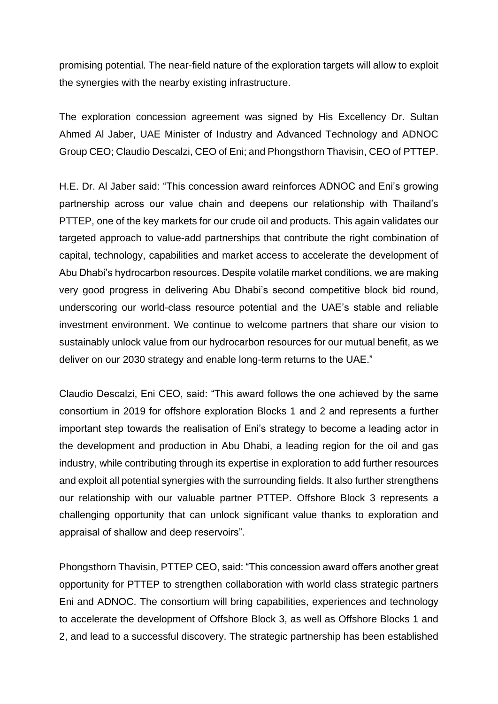promising potential. The near-field nature of the exploration targets will allow to exploit the synergies with the nearby existing infrastructure.

The exploration concession agreement was signed by His Excellency Dr. Sultan Ahmed Al Jaber, UAE Minister of Industry and Advanced Technology and ADNOC Group CEO; Claudio Descalzi, CEO of Eni; and Phongsthorn Thavisin, CEO of PTTEP.

H.E. Dr. Al Jaber said: "This concession award reinforces ADNOC and Eni's growing partnership across our value chain and deepens our relationship with Thailand's PTTEP, one of the key markets for our crude oil and products. This again validates our targeted approach to value-add partnerships that contribute the right combination of capital, technology, capabilities and market access to accelerate the development of Abu Dhabi's hydrocarbon resources. Despite volatile market conditions, we are making very good progress in delivering Abu Dhabi's second competitive block bid round, underscoring our world-class resource potential and the UAE's stable and reliable investment environment. We continue to welcome partners that share our vision to sustainably unlock value from our hydrocarbon resources for our mutual benefit, as we deliver on our 2030 strategy and enable long-term returns to the UAE."

Claudio Descalzi, Eni CEO, said: "This award follows the one achieved by the same consortium in 2019 for offshore exploration Blocks 1 and 2 and represents a further important step towards the realisation of Eni's strategy to become a leading actor in the development and production in Abu Dhabi, a leading region for the oil and gas industry, while contributing through its expertise in exploration to add further resources and exploit all potential synergies with the surrounding fields. It also further strengthens our relationship with our valuable partner PTTEP. Offshore Block 3 represents a challenging opportunity that can unlock significant value thanks to exploration and appraisal of shallow and deep reservoirs".

Phongsthorn Thavisin, PTTEP CEO, said: "This concession award offers another great opportunity for PTTEP to strengthen collaboration with world class strategic partners Eni and ADNOC. The consortium will bring capabilities, experiences and technology to accelerate the development of Offshore Block 3, as well as Offshore Blocks 1 and 2, and lead to a successful discovery. The strategic partnership has been established